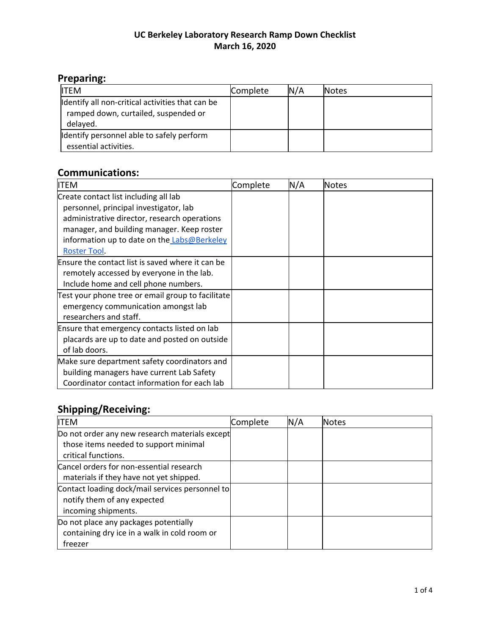#### **UC Berkeley Laboratory Research Ramp Down Checklist March 16, 2020**

## **Preparing:**

| <b>ITFM</b>                                                                                          | Complete | N/A | <b>Notes</b> |
|------------------------------------------------------------------------------------------------------|----------|-----|--------------|
| Identify all non-critical activities that can be<br>ramped down, curtailed, suspended or<br>delayed. |          |     |              |
| Identify personnel able to safely perform<br>essential activities.                                   |          |     |              |

#### **Communications:**

| <b>ITEM</b>                                       | Complete | N/A | Notes |
|---------------------------------------------------|----------|-----|-------|
| Create contact list including all lab             |          |     |       |
| personnel, principal investigator, lab            |          |     |       |
| administrative director, research operations      |          |     |       |
| manager, and building manager. Keep roster        |          |     |       |
| information up to date on the Labs@Berkeley       |          |     |       |
| Roster Tool.                                      |          |     |       |
| Ensure the contact list is saved where it can be  |          |     |       |
| remotely accessed by everyone in the lab.         |          |     |       |
| Include home and cell phone numbers.              |          |     |       |
| Test your phone tree or email group to facilitate |          |     |       |
| emergency communication amongst lab               |          |     |       |
| researchers and staff.                            |          |     |       |
| Ensure that emergency contacts listed on lab      |          |     |       |
| placards are up to date and posted on outside     |          |     |       |
| of lab doors.                                     |          |     |       |
| Make sure department safety coordinators and      |          |     |       |
| building managers have current Lab Safety         |          |     |       |
| Coordinator contact information for each lab      |          |     |       |

# **Shipping/Receiving:**

| ITEM                                            | Complete | N/A | <b>Notes</b> |
|-------------------------------------------------|----------|-----|--------------|
| Do not order any new research materials except  |          |     |              |
| those items needed to support minimal           |          |     |              |
| critical functions.                             |          |     |              |
| Cancel orders for non-essential research        |          |     |              |
| materials if they have not yet shipped.         |          |     |              |
| Contact loading dock/mail services personnel to |          |     |              |
| notify them of any expected                     |          |     |              |
| incoming shipments.                             |          |     |              |
| Do not place any packages potentially           |          |     |              |
| containing dry ice in a walk in cold room or    |          |     |              |
| freezer                                         |          |     |              |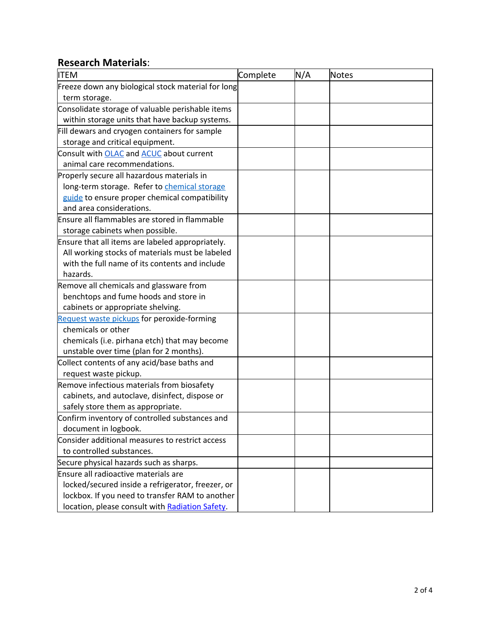#### **Research Materials**:

| <b>ITEM</b>                                        | Complete | N/A | Notes |
|----------------------------------------------------|----------|-----|-------|
| Freeze down any biological stock material for long |          |     |       |
| term storage.                                      |          |     |       |
| Consolidate storage of valuable perishable items   |          |     |       |
| within storage units that have backup systems.     |          |     |       |
| Fill dewars and cryogen containers for sample      |          |     |       |
| storage and critical equipment.                    |          |     |       |
| Consult with OLAC and <b>ACUC</b> about current    |          |     |       |
| animal care recommendations.                       |          |     |       |
| Properly secure all hazardous materials in         |          |     |       |
| long-term storage. Refer to chemical storage       |          |     |       |
| guide to ensure proper chemical compatibility      |          |     |       |
| and area considerations.                           |          |     |       |
| Ensure all flammables are stored in flammable      |          |     |       |
| storage cabinets when possible.                    |          |     |       |
| Ensure that all items are labeled appropriately.   |          |     |       |
| All working stocks of materials must be labeled    |          |     |       |
| with the full name of its contents and include     |          |     |       |
| hazards.                                           |          |     |       |
| Remove all chemicals and glassware from            |          |     |       |
| benchtops and fume hoods and store in              |          |     |       |
| cabinets or appropriate shelving.                  |          |     |       |
| Request waste pickups for peroxide-forming         |          |     |       |
| chemicals or other                                 |          |     |       |
| chemicals (i.e. pirhana etch) that may become      |          |     |       |
| unstable over time (plan for 2 months).            |          |     |       |
| Collect contents of any acid/base baths and        |          |     |       |
| request waste pickup.                              |          |     |       |
| Remove infectious materials from biosafety         |          |     |       |
| cabinets, and autoclave, disinfect, dispose or     |          |     |       |
| safely store them as appropriate.                  |          |     |       |
| Confirm inventory of controlled substances and     |          |     |       |
| document in logbook.                               |          |     |       |
| Consider additional measures to restrict access    |          |     |       |
| to controlled substances.                          |          |     |       |
| Secure physical hazards such as sharps.            |          |     |       |
| Ensure all radioactive materials are               |          |     |       |
| locked/secured inside a refrigerator, freezer, or  |          |     |       |
| lockbox. If you need to transfer RAM to another    |          |     |       |
| location, please consult with Radiation Safety.    |          |     |       |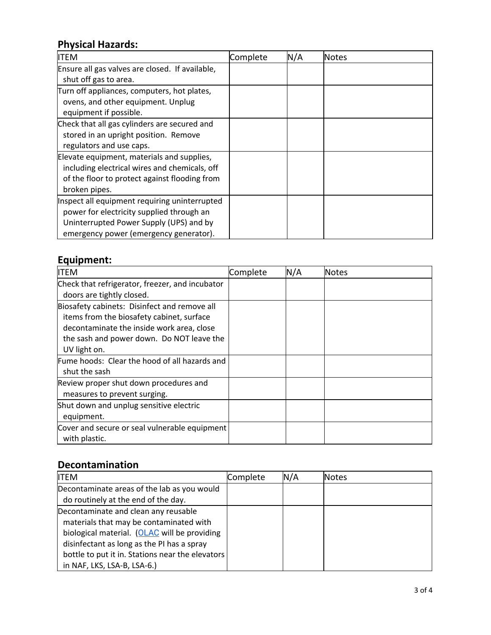## **Physical Hazards:**

| <b>ITEM</b>                                     | Complete | N/A | <b>Notes</b> |
|-------------------------------------------------|----------|-----|--------------|
| Ensure all gas valves are closed. If available, |          |     |              |
| shut off gas to area.                           |          |     |              |
| Turn off appliances, computers, hot plates,     |          |     |              |
| ovens, and other equipment. Unplug              |          |     |              |
| equipment if possible.                          |          |     |              |
| Check that all gas cylinders are secured and    |          |     |              |
| stored in an upright position. Remove           |          |     |              |
| regulators and use caps.                        |          |     |              |
| Elevate equipment, materials and supplies,      |          |     |              |
| including electrical wires and chemicals, off   |          |     |              |
| of the floor to protect against flooding from   |          |     |              |
| broken pipes.                                   |          |     |              |
| Inspect all equipment requiring uninterrupted   |          |     |              |
| power for electricity supplied through an       |          |     |              |
| Uninterrupted Power Supply (UPS) and by         |          |     |              |
| emergency power (emergency generator).          |          |     |              |

#### **Equipment:**

| <b>ITEM</b>                                     | Complete | N/A | Notes |
|-------------------------------------------------|----------|-----|-------|
| Check that refrigerator, freezer, and incubator |          |     |       |
| doors are tightly closed.                       |          |     |       |
| Biosafety cabinets: Disinfect and remove all    |          |     |       |
| items from the biosafety cabinet, surface       |          |     |       |
| decontaminate the inside work area, close       |          |     |       |
| the sash and power down. Do NOT leave the       |          |     |       |
| UV light on.                                    |          |     |       |
| Fume hoods: Clear the hood of all hazards and   |          |     |       |
| shut the sash                                   |          |     |       |
| Review proper shut down procedures and          |          |     |       |
| measures to prevent surging.                    |          |     |       |
| Shut down and unplug sensitive electric         |          |     |       |
| equipment.                                      |          |     |       |
| Cover and secure or seal vulnerable equipment   |          |     |       |
| with plastic.                                   |          |     |       |

### **Decontamination**

| IITEM                                            | Complete | N/A | <b>Notes</b> |
|--------------------------------------------------|----------|-----|--------------|
| Decontaminate areas of the lab as you would      |          |     |              |
| do routinely at the end of the day.              |          |     |              |
| Decontaminate and clean any reusable             |          |     |              |
| materials that may be contaminated with          |          |     |              |
| biological material. (OLAC will be providing     |          |     |              |
| disinfectant as long as the PI has a spray       |          |     |              |
| bottle to put it in. Stations near the elevators |          |     |              |
| in NAF, LKS, LSA-B, LSA-6.)                      |          |     |              |